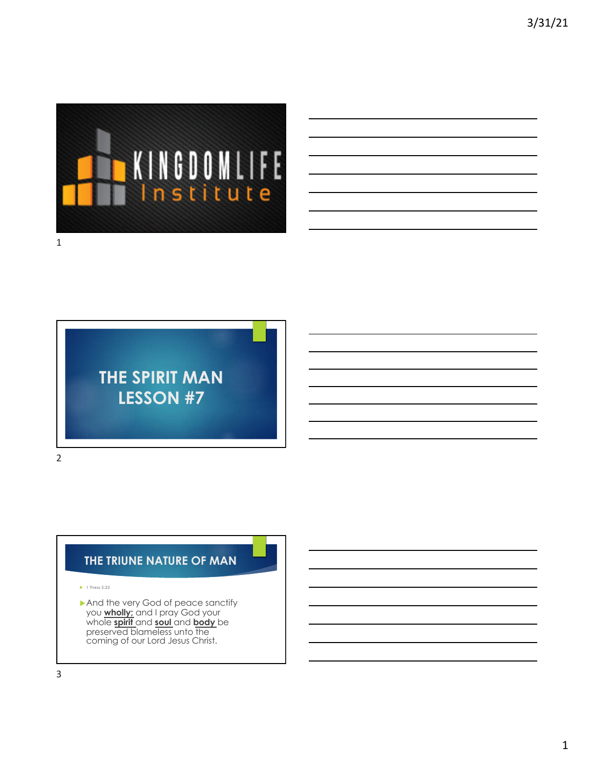

1

# **THE SPIRIT MAN LESSON #7**

2

# **THE TRIUNE NATURE OF MAN**

- $\blacktriangleright$  1 Thess 5:23
- $\blacktriangleright$  And the very God of peace sanctify you **wholly;** and I pray God your whole **spirit** and **soul** and **body** be preserved blameless unto the coming of our Lord Jesus Christ.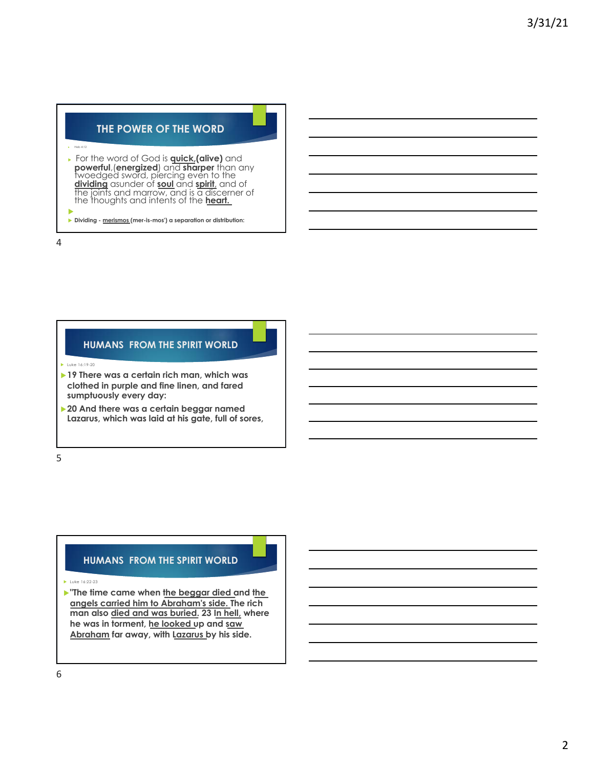## **THE POWER OF THE WORD**

#### $\overline{v}$  Heb 4:12

<sup>u</sup> For the word of God is **quick,(alive)** and **powerful**,(**energized**) and **sharper** than any twoedged sword, piercing even to the **dividing** asunder of **soul** and **spirit**, and of the joints and marrow, and is a discerner of the thoughts and intents of the **heart.** u

u **Dividing - merismos (mer-is-mos') a separation or distribution:**

4

### **HUMANS FROM THE SPIRIT WORLD**

 $\blacktriangleright$  Luke 16:19-20

- **► 19 There was a certain rich man, which was clothed in purple and fine linen, and fared sumptuously every day:**
- **▶ 20 And there was a certain beggar named Lazarus, which was laid at his gate, full of sores,**

5

#### **HUMANS FROM THE SPIRIT WORLD**

 $\blacktriangleright$  Luke 16:22-23

**Figure 1** The time came when the beggar died and the **angels carried him to Abraham's side. The rich man also died and was buried. 23 In hell, where he was in torment, he looked up and saw Abraham far away, with Lazarus by his side.**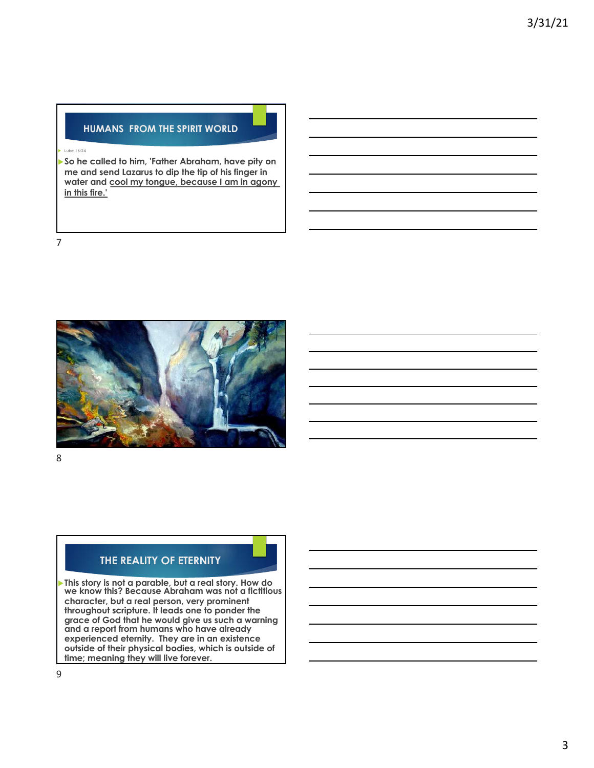### **HUMANS FROM THE SPIRIT WORLD**

#### u Luke 16:24

u**So he called to him, 'Father Abraham, have pity on me and send Lazarus to dip the tip of his finger in water and cool my tongue, because I am in agony in this fire.'** 

7



8

# **THE REALITY OF ETERNITY**

u**This story is not a parable, but a real story. How do we know this? Because Abraham was not a fictitious character, but a real person, very prominent throughout scripture. It leads one to ponder the grace of God that he would give us such a warning and a report from humans who have already experienced eternity. They are in an existence outside of their physical bodies, which is outside of time; meaning they will live forever.**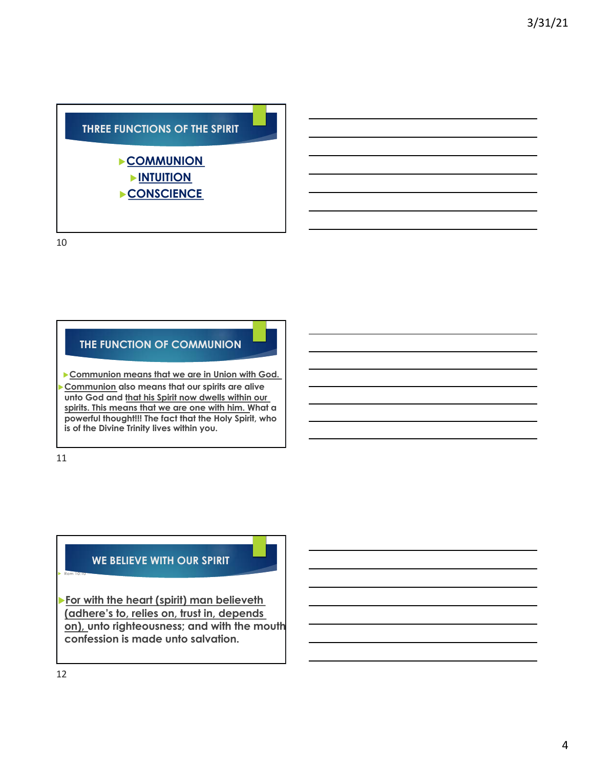

10

# **THE FUNCTION OF COMMUNION**

**Communion means that we are in Union with God. Communion** also means that our spirits are alive **unto God and that his Spirit now dwells within our spirits. This means that we are one with him. What a powerful thought!!! The fact that the Holy Spirit, who is of the Divine Trinity lives within you.** 

11

### **WE BELIEVE WITH OUR SPIRIT**

u**For with the heart (spirit) man believeth (adhere's to, relies on, trust in, depends on), unto righteousness; and with the mouth confession is made unto salvation.**

 $\blacktriangleright$  Rom 10:10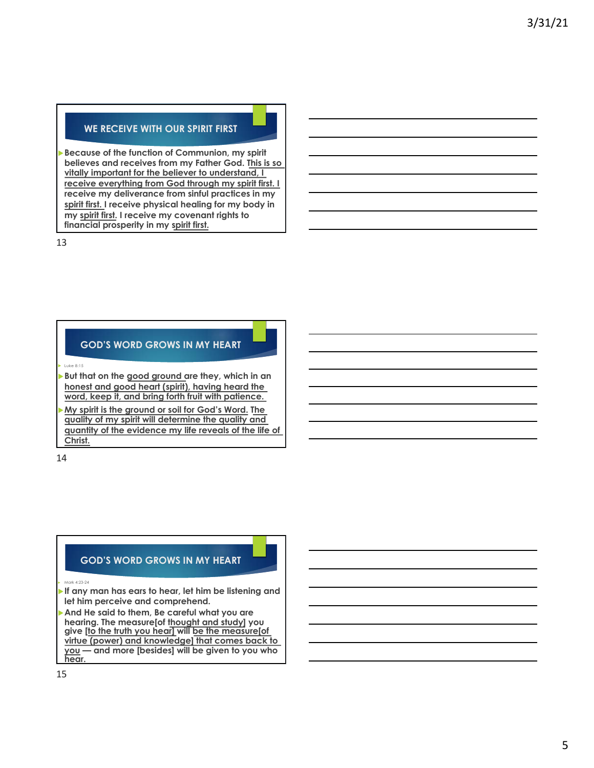#### **WE RECEIVE WITH OUR SPIRIT FIRST**

**Because of the function of Communion, my spirit believes and receives from my Father God. This is so vitally important for the believer to understand, I receive everything from God through my spirit first. I receive my deliverance from sinful practices in my spirit first. I receive physical healing for my body in my spirit first. I receive my covenant rights to financial prosperity in my spirit first.** 

13

## **GOD'S WORD GROWS IN MY HEART**

u Luke 8:15

But that on the good ground are they, which in an **honest and good heart (spirit), having heard the word, keep it, and bring forth fruit with patience.**

My spirit is the ground or soil for God's Word. The **quality of my spirit will determine the quality and quantity of the evidence my life reveals of the life of Christ.** 

14

#### **GOD'S WORD GROWS IN MY HEART**

u Mark 4:23-24

If any man has ears to hear, let him be listening and **let him perceive and comprehend.** 

And He said to them, Be careful what you are **hearing. The measure[of thought and study] you give [to the truth you hear] will be the measure[of virtue (power) and knowledge] that comes back to you — and more [besides] will be given to you who hear.**